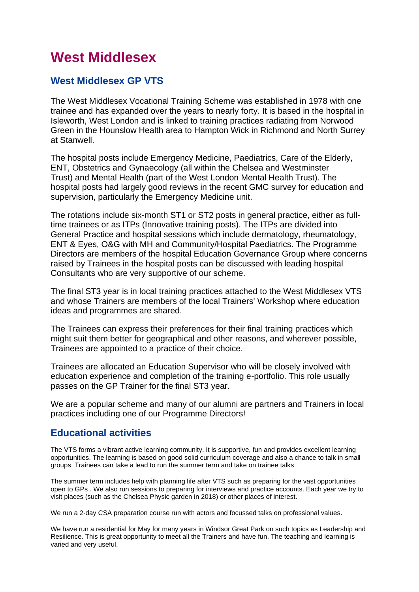# **West Middlesex**

# **West Middlesex GP VTS**

The West Middlesex Vocational Training Scheme was established in 1978 with one trainee and has expanded over the years to nearly forty. It is based in the hospital in Isleworth, West London and is linked to training practices radiating from Norwood Green in the Hounslow Health area to Hampton Wick in Richmond and North Surrey at Stanwell.

The hospital posts include Emergency Medicine, Paediatrics, Care of the Elderly, ENT, Obstetrics and Gynaecology (all within the Chelsea and Westminster Trust) and Mental Health (part of the West London Mental Health Trust). The hospital posts had largely good reviews in the recent GMC survey for education and supervision, particularly the Emergency Medicine unit.

The rotations include six-month ST1 or ST2 posts in general practice, either as fulltime trainees or as ITPs (Innovative training posts). The ITPs are divided into General Practice and hospital sessions which include dermatology, rheumatology, ENT & Eyes, O&G with MH and Community/Hospital Paediatrics. The Programme Directors are members of the hospital Education Governance Group where concerns raised by Trainees in the hospital posts can be discussed with leading hospital Consultants who are very supportive of our scheme.

The final ST3 year is in local training practices attached to the West Middlesex VTS and whose Trainers are members of the local Trainers' Workshop where education ideas and programmes are shared.

The Trainees can express their preferences for their final training practices which might suit them better for geographical and other reasons, and wherever possible, Trainees are appointed to a practice of their choice.

Trainees are allocated an Education Supervisor who will be closely involved with education experience and completion of the training e-portfolio. This role usually passes on the GP Trainer for the final ST3 year.

We are a popular scheme and many of our alumni are partners and Trainers in local practices including one of our Programme Directors!

# **Educational activities**

The VTS forms a vibrant active learning community. It is supportive, fun and provides excellent learning opportunities. The learning is based on good solid curriculum coverage and also a chance to talk in small groups. Trainees can take a lead to run the summer term and take on trainee talks

The summer term includes help with planning life after VTS such as preparing for the vast opportunities open to GPs . We also run sessions to preparing for interviews and practice accounts. Each year we try to visit places (such as the Chelsea Physic garden in 2018) or other places of interest.

We run a 2-day CSA preparation course run with actors and focussed talks on professional values.

We have run a residential for May for many years in Windsor Great Park on such topics as Leadership and Resilience. This is great opportunity to meet all the Trainers and have fun. The teaching and learning is varied and very useful.